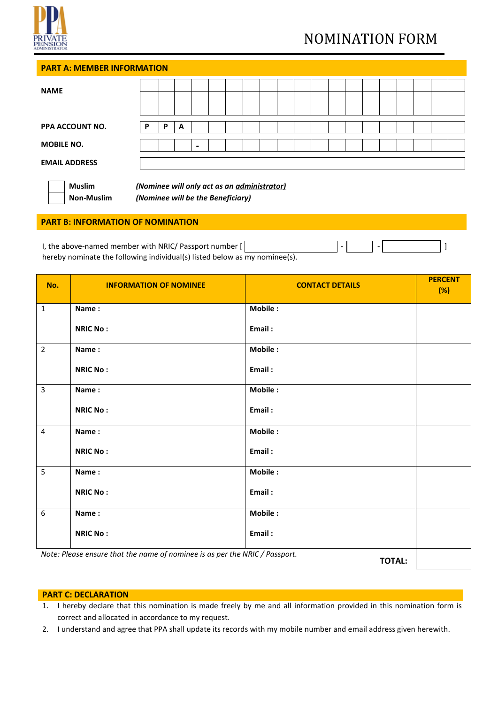

# NOMINATION FORM

# **PART A: MEMBER INFORMATION**

| <b>NAME</b>                                                                                                                   |   |   |   |                          |  |  |  |  |  |  |  |  |  |  |
|-------------------------------------------------------------------------------------------------------------------------------|---|---|---|--------------------------|--|--|--|--|--|--|--|--|--|--|
|                                                                                                                               |   |   |   |                          |  |  |  |  |  |  |  |  |  |  |
| <b>PPA ACCOUNT NO.</b>                                                                                                        | P | P | A |                          |  |  |  |  |  |  |  |  |  |  |
| <b>MOBILE NO.</b>                                                                                                             |   |   |   | $\overline{\phantom{0}}$ |  |  |  |  |  |  |  |  |  |  |
| <b>EMAIL ADDRESS</b>                                                                                                          |   |   |   |                          |  |  |  |  |  |  |  |  |  |  |
| <b>Muslim</b><br>(Nominee will only act as an <i>administrator)</i><br>(Nominee will be the Beneficiary)<br><b>Non-Muslim</b> |   |   |   |                          |  |  |  |  |  |  |  |  |  |  |

## **PART B: INFORMATION OF NOMINATION**

| I, the above-named member with NRIC/ Passport number $[ \ ]$               |  |  |  |
|----------------------------------------------------------------------------|--|--|--|
| hereby nominate the following individual(s) listed below as my nominee(s). |  |  |  |

| No.            | <b>INFORMATION OF NOMINEE</b>                                               | <b>CONTACT DETAILS</b> | <b>PERCENT</b><br>(%) |
|----------------|-----------------------------------------------------------------------------|------------------------|-----------------------|
| $\mathbf{1}$   | Name:                                                                       | Mobile:                |                       |
|                | <b>NRIC No:</b>                                                             | Email:                 |                       |
| $\overline{2}$ | Name:                                                                       | Mobile:                |                       |
|                | <b>NRIC No:</b>                                                             | Email:                 |                       |
| $\overline{3}$ | Name:                                                                       | Mobile:                |                       |
|                | <b>NRIC No:</b>                                                             | Email:                 |                       |
| $\overline{4}$ | Name:                                                                       | Mobile:                |                       |
|                | <b>NRIC No:</b>                                                             | Email:                 |                       |
| 5              | Name:                                                                       | Mobile:                |                       |
|                | <b>NRIC No:</b>                                                             | Email:                 |                       |
| 6              | Name:                                                                       | Mobile:                |                       |
|                | <b>NRIC No:</b>                                                             | Email:                 |                       |
|                | Note: Please ensure that the name of nominee is as per the NRIC / Passport. | <b>TOTAL:</b>          |                       |

#### **PART C: DECLARATION**

- 1. I hereby declare that this nomination is made freely by me and all information provided in this nomination form is correct and allocated in accordance to my request.
- 2. I understand and agree that PPA shall update its records with my mobile number and email address given herewith.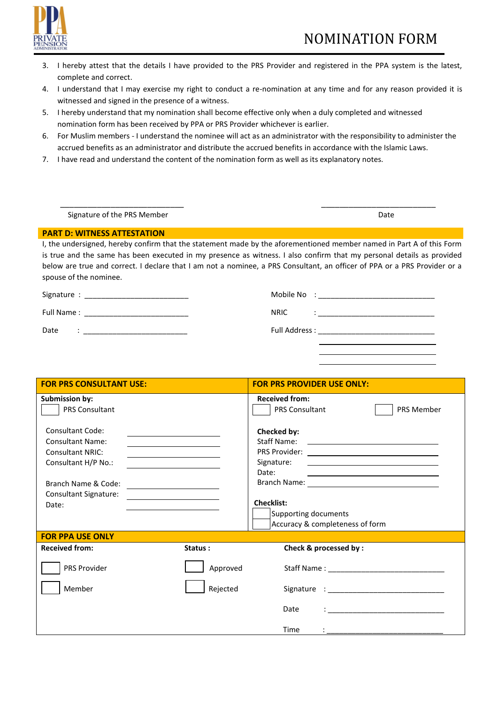

- 3. I hereby attest that the details I have provided to the PRS Provider and registered in the PPA system is the latest, complete and correct.
- 4. I understand that I may exercise my right to conduct a re-nomination at any time and for any reason provided it is witnessed and signed in the presence of a witness.
- 5. I hereby understand that my nomination shall become effective only when a duly completed and witnessed nomination form has been received by PPA or PRS Provider whichever is earlier.
- 6. For Muslim members I understand the nominee will act as an administrator with the responsibility to administer the accrued benefits as an administrator and distribute the accrued benefits in accordance with the Islamic Laws.
- 7. I have read and understand the content of the nomination form as well as its explanatory notes.

| Signature of the PRS Member | Date |
|-----------------------------|------|

## **PART D: WITNESS ATTESTATION**

I, the undersigned, hereby confirm that the statement made by the aforementioned member named in Part A of this Form is true and the same has been executed in my presence as witness. I also confirm that my personal details as provided below are true and correct. I declare that I am not a nominee, a PRS Consultant, an officer of PPA or a PRS Provider or a spouse of the nominee.

|            | Mobile No<br>$\cdot$ |
|------------|----------------------|
| Full Name: | <b>NRIC</b>          |
| Date       | Full Address :       |

| <b>FOR PRS CONSULTANT USE:</b>                                                                                                                                       |                                                                                                                                                 | <b>FOR PRS PROVIDER USE ONLY:</b>                                                                                                                                                    |
|----------------------------------------------------------------------------------------------------------------------------------------------------------------------|-------------------------------------------------------------------------------------------------------------------------------------------------|--------------------------------------------------------------------------------------------------------------------------------------------------------------------------------------|
| <b>Submission by:</b><br><b>PRS Consultant</b>                                                                                                                       |                                                                                                                                                 | <b>Received from:</b><br><b>PRS Member</b><br><b>PRS Consultant</b>                                                                                                                  |
| <b>Consultant Code:</b><br><b>Consultant Name:</b><br><b>Consultant NRIC:</b><br>Consultant H/P No.:<br>Branch Name & Code:<br><b>Consultant Signature:</b><br>Date: | the control of the control of the control of the control of the control of<br><u> 1989 - Andrea Station Books, amerikansk politik (d. 1989)</u> | Checked by:<br>Signature:<br><u> 1980 - Johann Stein, mars and de Britain (b. 1980)</u><br>Date:<br><u> 1989 - Andrea Stadt Britain, amerikansk politiker (</u><br><b>Checklist:</b> |
|                                                                                                                                                                      |                                                                                                                                                 | Supporting documents<br>Accuracy & completeness of form                                                                                                                              |
| <b>FOR PPA USE ONLY</b>                                                                                                                                              |                                                                                                                                                 |                                                                                                                                                                                      |
| <b>Received from:</b>                                                                                                                                                | Status:                                                                                                                                         | Check & processed by:                                                                                                                                                                |
| PRS Provider                                                                                                                                                         | Approved                                                                                                                                        |                                                                                                                                                                                      |
| Member                                                                                                                                                               | Rejected                                                                                                                                        |                                                                                                                                                                                      |
|                                                                                                                                                                      |                                                                                                                                                 | <b>Date</b><br><u> : _______________________________</u>                                                                                                                             |
|                                                                                                                                                                      |                                                                                                                                                 | <b>Time</b>                                                                                                                                                                          |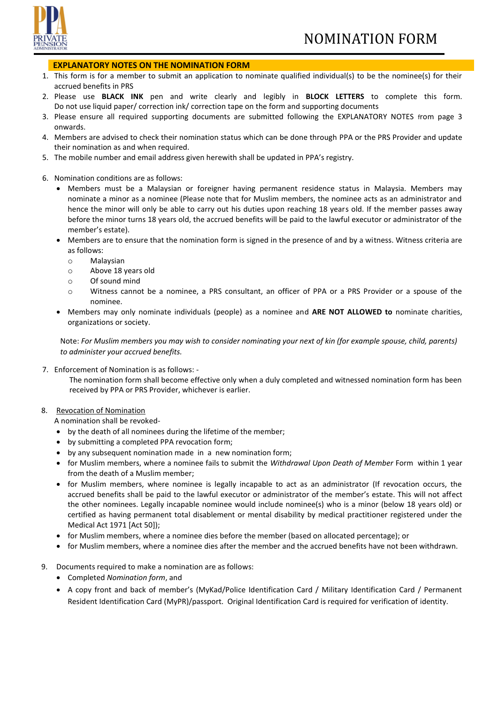## **EXPLANATORY NOTES ON THE NOMINATION FORM**

- 1. This form is for a member to submit an application to nominate qualified individual(s) to be the nominee(s) for their accrued benefits in PRS
- 2. Please use **BLACK INK** pen and write clearly and legibly in **BLOCK LETTERS** to complete this form. Do not use liquid paper/ correction ink/ correction tape on the form and supporting documents
- 3. Please ensure all required supporting documents are submitted following the EXPLANATORY NOTES from page 3 onwards.
- 4. Members are advised to check their nomination status which can be done through PPA or the PRS Provider and update their nomination as and when required.
- 5. The mobile number and email address given herewith shall be updated in PPA's registry.
- 6. Nomination conditions are as follows:
	- Members must be a Malaysian or foreigner having permanent residence status in Malaysia. Members may nominate a minor as a nominee (Please note that for Muslim members, the nominee acts as an administrator and hence the minor will only be able to carry out his duties upon reaching 18 years old. If the member passes away before the minor turns 18 years old, the accrued benefits will be paid to the lawful executor or administrator of the member's estate).
	- Members are to ensure that the nomination form is signed in the presence of and by a witness. Witness criteria are as follows:
		- o Malaysian
		- o Above 18 years old
		- o Of sound mind
		- o Witness cannot be a nominee, a PRS consultant, an officer of PPA or a PRS Provider or a spouse of the nominee.
	- Members may only nominate individuals (people) as a nominee and **ARE NOT ALLOWED to** nominate charities, organizations or society.

Note: *For Muslim members you may wish to consider nominating your next of kin (for example spouse, child, parents) to administer your accrued benefits.* 

- 7. Enforcement of Nomination is as follows:
	- The nomination form shall become effective only when a duly completed and witnessed nomination form has been received by PPA or PRS Provider, whichever is earlier.

#### 8. Revocation of Nomination

A nomination shall be revoked-

- by the death of all nominees during the lifetime of the member;
- by submitting a completed PPA revocation form;
- by any subsequent nomination made in a new nomination form;
- for Muslim members, where a nominee fails to submit the *Withdrawal Upon Death of Member* Form within 1 year from the death of a Muslim member;
- for Muslim members, where nominee is legally incapable to act as an administrator (If revocation occurs, the accrued benefits shall be paid to the lawful executor or administrator of the member's estate. This will not affect the other nominees. Legally incapable nominee would include nominee(s) who is a minor (below 18 years old) or certified as having permanent total disablement or mental disability by medical practitioner registered under the Medical Act 1971 [Act 50]);
- for Muslim members, where a nominee dies before the member (based on allocated percentage); or
- for Muslim members, where a nominee dies after the member and the accrued benefits have not been withdrawn.
- 9. Documents required to make a nomination are as follows:
	- Completed *Nomination form*, and
	- A copy front and back of member's (MyKad/Police Identification Card / Military Identification Card / Permanent Resident Identification Card (MyPR)/passport. Original Identification Card is required for verification of identity.